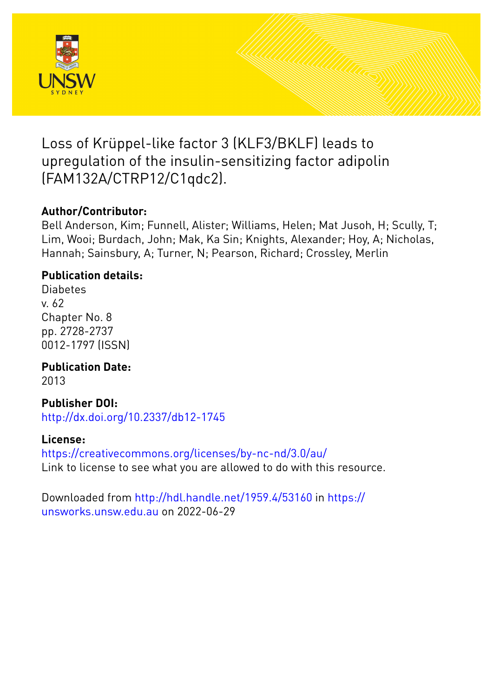

Loss of Krüppel-like factor 3 (KLF3/BKLF) leads to upregulation of the insulin-sensitizing factor adipolin (FAM132A/CTRP12/C1qdc2).

# **Author/Contributor:**

Bell Anderson, Kim; Funnell, Alister; Williams, Helen; Mat Jusoh, H; Scully, T; Lim, Wooi; Burdach, John; Mak, Ka Sin; Knights, Alexander; Hoy, A; Nicholas, Hannah; Sainsbury, A; Turner, N; Pearson, Richard; Crossley, Merlin

# **Publication details:**

Diabetes v. 62 Chapter No. 8 pp. 2728-2737 0012-1797 (ISSN)

**Publication Date:** 2013

**Publisher DOI:**

[http://dx.doi.org/10.2337/db12-1745](http://dx.doi.org/http://dx.doi.org/10.2337/db12-1745)

## **License:**

<https://creativecommons.org/licenses/by-nc-nd/3.0/au/> Link to license to see what you are allowed to do with this resource.

Downloaded from <http://hdl.handle.net/1959.4/53160> in [https://](https://unsworks.unsw.edu.au) [unsworks.unsw.edu.au](https://unsworks.unsw.edu.au) on 2022-06-29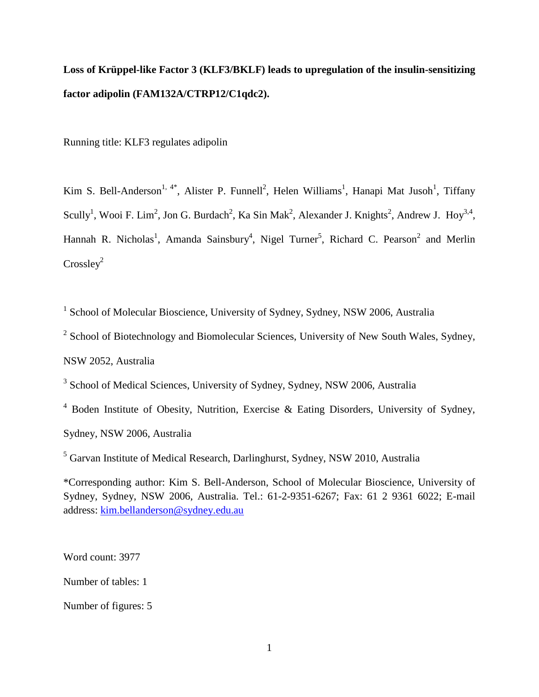# **Loss of Krüppel-like Factor 3 (KLF3/BKLF) leads to upregulation of the insulin-sensitizing factor adipolin (FAM132A/CTRP12/C1qdc2).**

Running title: KLF3 regulates adipolin

Kim S. Bell-Anderson<sup>1, 4\*</sup>, Alister P. Funnell<sup>2</sup>, Helen Williams<sup>1</sup>, Hanapi Mat Jusoh<sup>1</sup>, Tiffany Scully<sup>1</sup>, Wooi F. Lim<sup>2</sup>, Jon G. Burdach<sup>2</sup>, Ka Sin Mak<sup>2</sup>, Alexander J. Knights<sup>2</sup>, Andrew J. Hoy<sup>3,4</sup>, Hannah R. Nicholas<sup>1</sup>, Amanda Sainsbury<sup>4</sup>, Nigel Turner<sup>5</sup>, Richard C. Pearson<sup>2</sup> and Merlin  $Crosslev<sup>2</sup>$ 

<sup>1</sup> School of Molecular Bioscience, University of Sydney, Sydney, NSW 2006, Australia

<sup>2</sup> School of Biotechnology and Biomolecular Sciences, University of New South Wales, Sydney,

NSW 2052, Australia

<sup>3</sup> School of Medical Sciences, University of Sydney, Sydney, NSW 2006, Australia

<sup>4</sup> Boden Institute of Obesity, Nutrition, Exercise & Eating Disorders, University of Sydney, Sydney, NSW 2006, Australia

<sup>5</sup> Garvan Institute of Medical Research, Darlinghurst, Sydney, NSW 2010, Australia

\*Corresponding author: Kim S. Bell-Anderson, School of Molecular Bioscience, University of Sydney, Sydney, NSW 2006, Australia. Tel.: 61-2-9351-6267; Fax: 61 2 9361 6022; E-mail address: [kim.bellanderson@sydney.edu.au](mailto:kim.bellanderson@sydney.edu.au)

Word count: 3977 Number of tables: 1 Number of figures: 5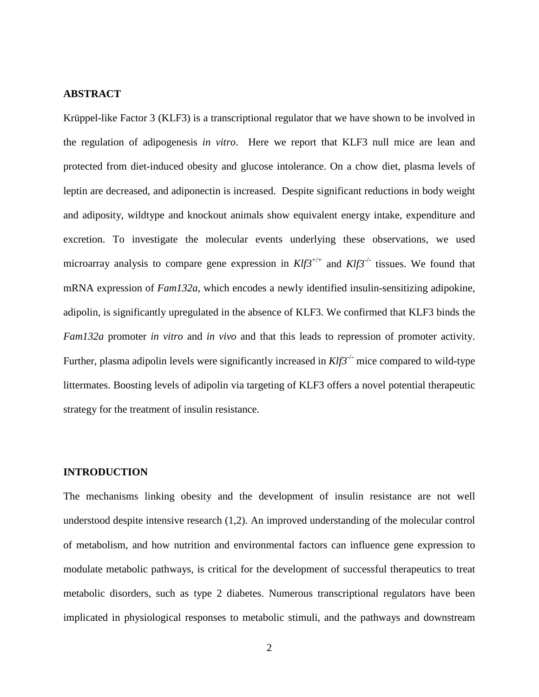#### **ABSTRACT**

Krüppel-like Factor 3 (KLF3) is a transcriptional regulator that we have shown to be involved in the regulation of adipogenesis *in vitro*. Here we report that KLF3 null mice are lean and protected from diet-induced obesity and glucose intolerance. On a chow diet, plasma levels of leptin are decreased, and adiponectin is increased. Despite significant reductions in body weight and adiposity, wildtype and knockout animals show equivalent energy intake, expenditure and excretion. To investigate the molecular events underlying these observations, we used microarray analysis to compare gene expression in  $Klf3^{+/+}$  and  $Klf3^{-/-}$  tissues. We found that mRNA expression of *Fam132a*, which encodes a newly identified insulin-sensitizing adipokine, adipolin, is significantly upregulated in the absence of KLF3. We confirmed that KLF3 binds the *Fam132a* promoter *in vitro* and *in vivo* and that this leads to repression of promoter activity. Further, plasma adipolin levels were significantly increased in  $Klf3^{-/-}$  mice compared to wild-type littermates. Boosting levels of adipolin via targeting of KLF3 offers a novel potential therapeutic strategy for the treatment of insulin resistance.

#### **INTRODUCTION**

The mechanisms linking obesity and the development of insulin resistance are not well understood despite intensive research [\(1](#page-17-0)[,2\)](#page-17-1). An improved understanding of the molecular control of metabolism, and how nutrition and environmental factors can influence gene expression to modulate metabolic pathways, is critical for the development of successful therapeutics to treat metabolic disorders, such as type 2 diabetes. Numerous transcriptional regulators have been implicated in physiological responses to metabolic stimuli, and the pathways and downstream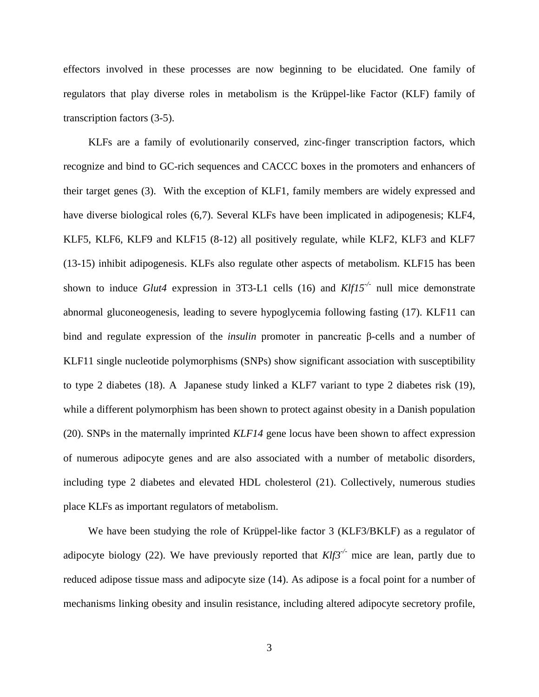effectors involved in these processes are now beginning to be elucidated. One family of regulators that play diverse roles in metabolism is the Krüppel-like Factor (KLF) family of transcription factors [\(3-5\)](#page-17-2).

KLFs are a family of evolutionarily conserved, zinc-finger transcription factors, which recognize and bind to GC-rich sequences and CACCC boxes in the promoters and enhancers of their target genes [\(3\)](#page-17-2). With the exception of KLF1, family members are widely expressed and have diverse biological roles [\(6,](#page-17-3)[7\)](#page-17-4). Several KLFs have been implicated in adipogenesis; KLF4, KLF5, KLF6, KLF9 and KLF15 [\(8-12\)](#page-17-5) all positively regulate, while KLF2, KLF3 and KLF7 [\(13-15\)](#page-17-6) inhibit adipogenesis. KLFs also regulate other aspects of metabolism. KLF15 has been shown to induce *Glut4* expression in 3T3-L1 cells [\(16\)](#page-18-0) and *Klf15-/-* null mice demonstrate abnormal gluconeogenesis, leading to severe hypoglycemia following fasting [\(17\)](#page-18-1). KLF11 can bind and regulate expression of the *insulin* promoter in pancreatic β-cells and a number of KLF11 single nucleotide polymorphisms (SNPs) show significant association with susceptibility to type 2 diabetes [\(18\)](#page-18-2). A Japanese study linked a KLF7 variant to type 2 diabetes risk [\(19\)](#page-18-3), while a different polymorphism has been shown to protect against obesity in a Danish population [\(20\)](#page-18-4). SNPs in the maternally imprinted *KLF14* gene locus have been shown to affect expression of numerous adipocyte genes and are also associated with a number of metabolic disorders, including type 2 diabetes and elevated HDL cholesterol [\(21\)](#page-18-5). Collectively, numerous studies place KLFs as important regulators of metabolism.

We have been studying the role of Krüppel-like factor 3 (KLF3/BKLF) as a regulator of adipocyte biology [\(22\)](#page-18-6). We have previously reported that *Klf3-/-* mice are lean, partly due to reduced adipose tissue mass and adipocyte size [\(14\)](#page-17-7). As adipose is a focal point for a number of mechanisms linking obesity and insulin resistance, including altered adipocyte secretory profile,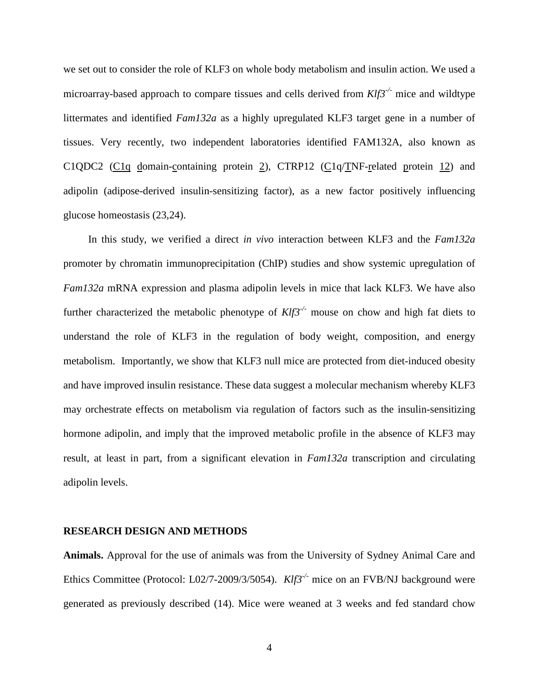we set out to consider the role of KLF3 on whole body metabolism and insulin action. We used a microarray-based approach to compare tissues and cells derived from *Klf3-/-* mice and wildtype littermates and identified *Fam132a* as a highly upregulated KLF3 target gene in a number of tissues. Very recently, two independent laboratories identified FAM132A, also known as C1QDC2 (C1q domain-containing protein 2), CTRP12 (C1q/TNF-related protein 12) and adipolin (adipose-derived insulin-sensitizing factor), as a new factor positively influencing glucose homeostasis [\(23,](#page-18-7)[24\)](#page-18-8).

In this study, we verified a direct *in vivo* interaction between KLF3 and the *Fam132a* promoter by chromatin immunoprecipitation (ChIP) studies and show systemic upregulation of *Fam132a* mRNA expression and plasma adipolin levels in mice that lack KLF3. We have also further characterized the metabolic phenotype of *Klf3-/-* mouse on chow and high fat diets to understand the role of KLF3 in the regulation of body weight, composition, and energy metabolism. Importantly, we show that KLF3 null mice are protected from diet-induced obesity and have improved insulin resistance. These data suggest a molecular mechanism whereby KLF3 may orchestrate effects on metabolism via regulation of factors such as the insulin-sensitizing hormone adipolin, and imply that the improved metabolic profile in the absence of KLF3 may result, at least in part, from a significant elevation in *Fam132a* transcription and circulating adipolin levels.

#### **RESEARCH DESIGN AND METHODS**

**Animals.** Approval for the use of animals was from the University of Sydney Animal Care and Ethics Committee (Protocol: L02/7-2009/3/5054). *Klf3-/-* mice on an FVB/NJ background were generated as previously described [\(14\)](#page-17-7). Mice were weaned at 3 weeks and fed standard chow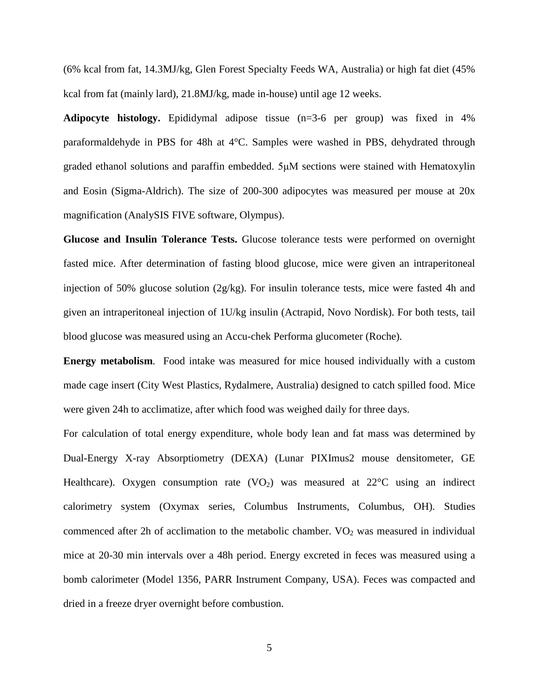(6% kcal from fat, 14.3MJ/kg, Glen Forest Specialty Feeds WA, Australia) or high fat diet (45% kcal from fat (mainly lard), 21.8MJ/kg, made in-house) until age 12 weeks.

**Adipocyte histology.** Epididymal adipose tissue (n=3-6 per group) was fixed in 4% paraformaldehyde in PBS for 48h at 4°C. Samples were washed in PBS, dehydrated through graded ethanol solutions and paraffin embedded. 5μM sections were stained with Hematoxylin and Eosin (Sigma-Aldrich). The size of 200-300 adipocytes was measured per mouse at 20x magnification (AnalySIS FIVE software, Olympus).

**Glucose and Insulin Tolerance Tests.** Glucose tolerance tests were performed on overnight fasted mice. After determination of fasting blood glucose, mice were given an intraperitoneal injection of 50% glucose solution  $(2g/kg)$ . For insulin tolerance tests, mice were fasted 4h and given an intraperitoneal injection of 1U/kg insulin (Actrapid, Novo Nordisk). For both tests, tail blood glucose was measured using an Accu-chek Performa glucometer (Roche)*.* 

**Energy metabolism**. Food intake was measured for mice housed individually with a custom made cage insert (City West Plastics, Rydalmere, Australia) designed to catch spilled food. Mice were given 24h to acclimatize, after which food was weighed daily for three days.

For calculation of total energy expenditure, whole body lean and fat mass was determined by Dual-Energy X-ray Absorptiometry (DEXA) (Lunar PIXImus2 mouse densitometer, GE Healthcare). Oxygen consumption rate  $(VO<sub>2</sub>)$  was measured at  $22^{\circ}$ C using an indirect calorimetry system (Oxymax series, Columbus Instruments, Columbus, OH). Studies commenced after 2h of acclimation to the metabolic chamber.  $VO<sub>2</sub>$  was measured in individual mice at 20-30 min intervals over a 48h period. Energy excreted in feces was measured using a bomb calorimeter (Model 1356, PARR Instrument Company, USA). Feces was compacted and dried in a freeze dryer overnight before combustion.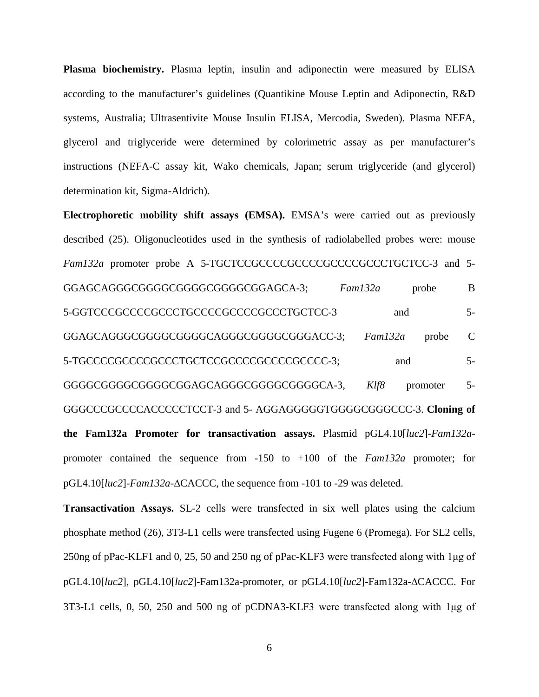**Plasma biochemistry.** Plasma leptin, insulin and adiponectin were measured by ELISA according to the manufacturer's guidelines (Quantikine Mouse Leptin and Adiponectin, R&D systems, Australia; Ultrasentivite Mouse Insulin ELISA, Mercodia, Sweden). Plasma NEFA, glycerol and triglyceride were determined by colorimetric assay as per manufacturer's instructions (NEFA-C assay kit, Wako chemicals, Japan; serum triglyceride (and glycerol) determination kit, Sigma-Aldrich)*.*

**Electrophoretic mobility shift assays (EMSA).** EMSA's were carried out as previously described [\(25\)](#page-18-9). Oligonucleotides used in the synthesis of radiolabelled probes were: mouse *Fam132a* promoter probe A 5-TGCTCCGCCCCGCCCCGCCCCGCCCTGCTCC-3 and 5-GGAGCAGGGCGGGGCGGGGCGGGGCGGAGCA-3; *Fam132a* probe B 5-GGTCCCGCCCCGCCCTGCCCCGCCCCGCCCTGCTCC-3 and 5- GGAGCAGGGCGGGGCGGGGCAGGGCGGGGCGGGACC-3; *Fam132a* probe C 5-TGCCCCGCCCCGCCCTGCTCCGCCCCGCCCCGCCCC-3; and 5-GGGGCGGGGGGGGGGGGAGCAGGGGGGGGGGGGGA-3, Klf8 promoter 5-GGGCCCGCCCCACCCCCTCCT-3 and 5- AGGAGGGGGTGGGGCGGGCCC-3. **Cloning of the Fam132a Promoter for transactivation assays.** Plasmid pGL4.10[*luc2*]-*Fam132a*promoter contained the sequence from -150 to +100 of the *Fam132a* promoter; for pGL4.10[*luc2*]-*Fam132a*-∆CACCC, the sequence from -101 to -29 was deleted.

**Transactivation Assays.** SL-2 cells were transfected in six well plates using the calcium phosphate method [\(26\)](#page-18-10), 3T3-L1 cells were transfected using Fugene 6 (Promega). For SL2 cells, 250ng of pPac-KLF1 and 0, 25, 50 and 250 ng of pPac-KLF3 were transfected along with 1μg of pGL4.10[*luc2*], pGL4.10[*luc2*]-Fam132a-promoter, or pGL4.10[*luc2*]-Fam132a-∆CACCC. For 3T3-L1 cells, 0, 50, 250 and 500 ng of pCDNA3-KLF3 were transfected along with 1μg of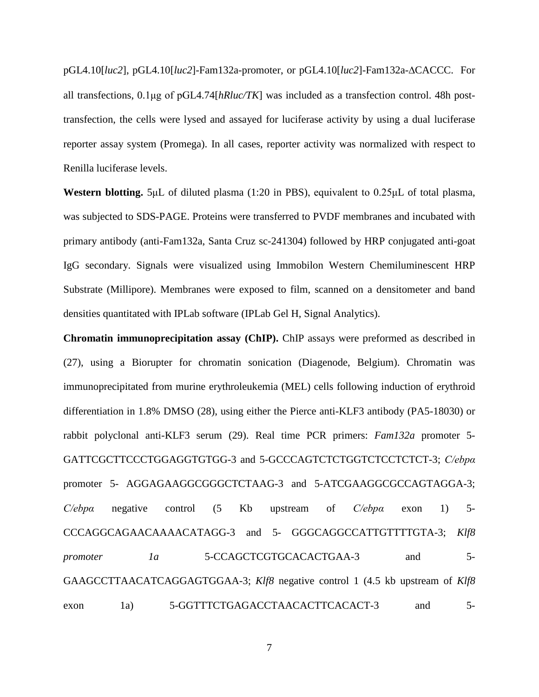pGL4.10[*luc2*], pGL4.10[*luc2*]-Fam132a-promoter, or pGL4.10[*luc2*]-Fam132a-∆CACCC. For all transfections, 0.1μg of pGL4.74[*hRluc/TK*] was included as a transfection control. 48h posttransfection, the cells were lysed and assayed for luciferase activity by using a dual luciferase reporter assay system (Promega). In all cases, reporter activity was normalized with respect to Renilla luciferase levels.

**Western blotting.** 5μL of diluted plasma (1:20 in PBS), equivalent to 0.25μL of total plasma, was subjected to SDS-PAGE. Proteins were transferred to PVDF membranes and incubated with primary antibody (anti-Fam132a, Santa Cruz sc-241304) followed by HRP conjugated anti-goat IgG secondary. Signals were visualized using Immobilon Western Chemiluminescent HRP Substrate (Millipore). Membranes were exposed to film, scanned on a densitometer and band densities quantitated with IPLab software (IPLab Gel H, Signal Analytics).

**Chromatin immunoprecipitation assay (ChIP).** ChIP assays were preformed as described in [\(27\)](#page-18-11), using a Biorupter for chromatin sonication (Diagenode, Belgium). Chromatin was immunoprecipitated from murine erythroleukemia (MEL) cells following induction of erythroid differentiation in 1.8% DMSO [\(28\)](#page-19-0), using either the Pierce anti-KLF3 antibody (PA5-18030) or rabbit polyclonal anti-KLF3 serum [\(29\)](#page-19-1). Real time PCR primers: *Fam132a* promoter 5- GATTCGCTTCCCTGGAGGTGTGG-3 and 5-GCCCAGTCTCTGGTCTCCTCTCT-3; *C/ebpα* promoter 5- AGGAGAAGGCGGGCTCTAAG-3 and 5-ATCGAAGGCGCCAGTAGGA-3; *C/ebpα* negative control (5 Kb upstream of *C/ebpα* exon 1) 5- CCCAGGCAGAACAAAACATAGG-3 and 5- GGGCAGGCCATTGTTTTGTA-3; *Klf8 promoter 1a* 5-CCAGCTCGTGCACACTGAA-3 and 5-GAAGCCTTAACATCAGGAGTGGAA-3; *Klf8* negative control 1 (4.5 kb upstream of *Klf8* exon 1a) 5-GGTTTCTGAGACCTAACACTTCACACT-3 and 5-

7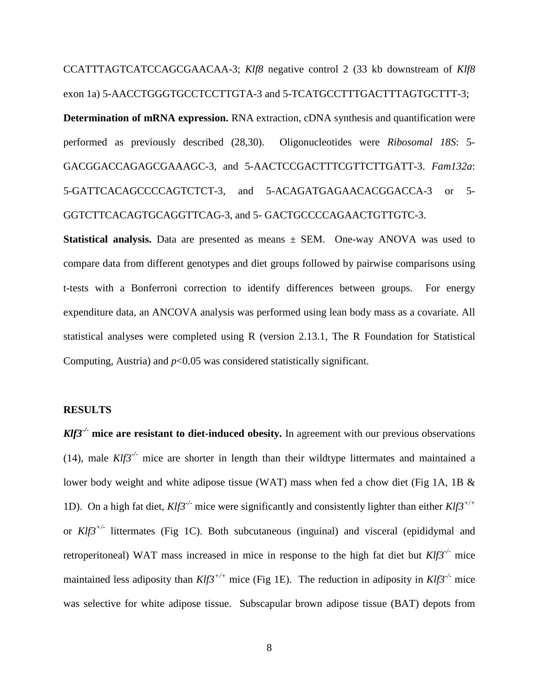CCATTTAGTCATCCAGCGAACAA-3; *Klf8* negative control 2 (33 kb downstream of *Klf8* exon 1a) 5-AACCTGGGTGCCTCCTTGTA-3 and 5-TCATGCCTTTGACTTTAGTGCTTT-3; **Determination of mRNA expression.** RNA extraction, cDNA synthesis and quantification were performed as previously described [\(28,](#page-19-0)[30\)](#page-19-2). Oligonucleotides were *Ribosomal 18S*: 5- GACGGACCAGAGCGAAAGC-3, and 5-AACTCCGACTTTCGTTCTTGATT-3. *Fam132a*: 5-GATTCACAGCCCCAGTCTCT-3, and 5-ACAGATGAGAACACGGACCA-3 or 5- GGTCTTCACAGTGCAGGTTCAG-3, and 5- GACTGCCCCAGAACTGTTGTC-3.

**Statistical analysis.** Data are presented as means ± SEM. One-way ANOVA was used to compare data from different genotypes and diet groups followed by pairwise comparisons using t-tests with a Bonferroni correction to identify differences between groups. For energy expenditure data, an ANCOVA analysis was performed using lean body mass as a covariate. All statistical analyses were completed using R (version 2.13.1, The R Foundation for Statistical Computing, Austria) and  $p<0.05$  was considered statistically significant.

#### **RESULTS**

*Klf3<sup>-/-</sup>* mice are resistant to diet-induced obesity. In agreement with our previous observations [\(14\)](#page-17-7), male  $Klf3^{-1}$  mice are shorter in length than their wildtype littermates and maintained a lower body weight and white adipose tissue (WAT) mass when fed a chow diet (Fig 1A, 1B & 1D). On a high fat diet, *Klf3-/-* mice were significantly and consistently lighter than either *Klf3+/+*  or *Klf3+/-* littermates (Fig 1C). Both subcutaneous (inguinal) and visceral (epididymal and retroperitoneal) WAT mass increased in mice in response to the high fat diet but *Klf3-/-* mice maintained less adiposity than *Klf3+/+* mice (Fig 1E). The reduction in adiposity in *Klf3-/-* mice was selective for white adipose tissue. Subscapular brown adipose tissue (BAT) depots from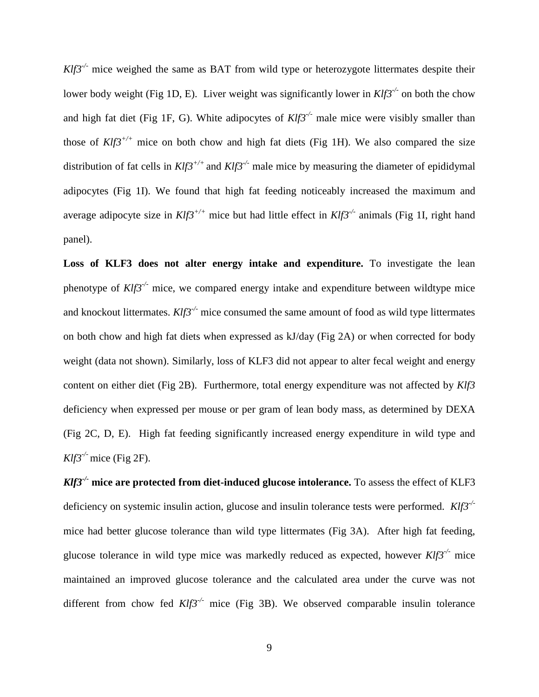*Klf3<sup>-/-</sup>* mice weighed the same as BAT from wild type or heterozygote littermates despite their lower body weight (Fig 1D, E). Liver weight was significantly lower in *Klf3-/-* on both the chow and high fat diet (Fig 1F, G). White adipocytes of *Klf3-/-* male mice were visibly smaller than those of  $Klf3^{+/+}$  mice on both chow and high fat diets (Fig 1H). We also compared the size distribution of fat cells in  $Klf3^{+/+}$  and  $Klf3^{-/-}$  male mice by measuring the diameter of epididymal adipocytes (Fig 1I). We found that high fat feeding noticeably increased the maximum and average adipocyte size in *Klf3+/+* mice but had little effect in *Klf3-/-* animals (Fig 1I, right hand panel).

**Loss of KLF3 does not alter energy intake and expenditure.** To investigate the lean phenotype of  $Klf3^{-1/2}$  mice, we compared energy intake and expenditure between wildtype mice and knockout littermates. *Klf3-/-* mice consumed the same amount of food as wild type littermates on both chow and high fat diets when expressed as kJ/day (Fig 2A) or when corrected for body weight (data not shown). Similarly, loss of KLF3 did not appear to alter fecal weight and energy content on either diet (Fig 2B). Furthermore, total energy expenditure was not affected by *Klf3* deficiency when expressed per mouse or per gram of lean body mass, as determined by DEXA (Fig 2C, D, E). High fat feeding significantly increased energy expenditure in wild type and *Klf3-/-* mice (Fig 2F).

*Klf3-/-* **mice are protected from diet-induced glucose intolerance.** To assess the effect of KLF3 deficiency on systemic insulin action, glucose and insulin tolerance tests were performed. *Klf3-/* mice had better glucose tolerance than wild type littermates (Fig 3A). After high fat feeding, glucose tolerance in wild type mice was markedly reduced as expected, however *Klf3-/-* mice maintained an improved glucose tolerance and the calculated area under the curve was not different from chow fed *Klf3<sup>-/-</sup>* mice (Fig 3B). We observed comparable insulin tolerance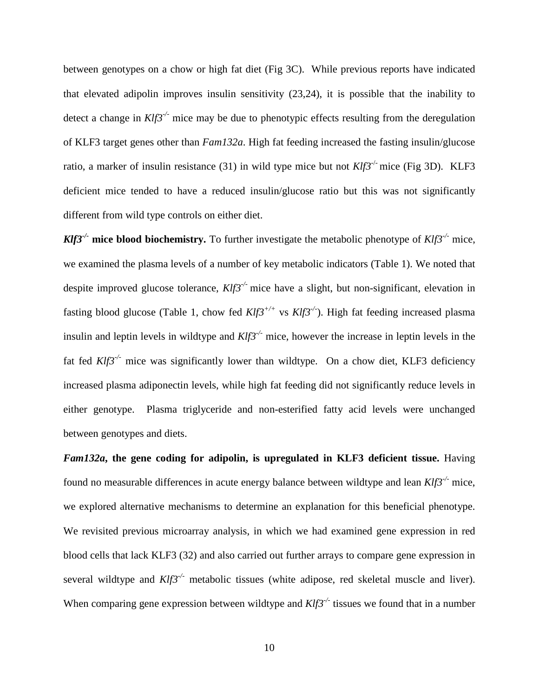between genotypes on a chow or high fat diet (Fig 3C). While previous reports have indicated that elevated adipolin improves insulin sensitivity [\(23,](#page-18-7)[24\)](#page-18-8), it is possible that the inability to detect a change in *Klf3-/-* mice may be due to phenotypic effects resulting from the deregulation of KLF3 target genes other than *Fam132a*. High fat feeding increased the fasting insulin/glucose ratio, a marker of insulin resistance [\(31\)](#page-19-3) in wild type mice but not  $Klf3^{-/-}$  mice (Fig 3D). KLF3 deficient mice tended to have a reduced insulin/glucose ratio but this was not significantly different from wild type controls on either diet.

*Klf3<sup>-/-</sup>* **mice blood biochemistry.** To further investigate the metabolic phenotype of  $Klf3^{-/-}$  mice, we examined the plasma levels of a number of key metabolic indicators (Table 1). We noted that despite improved glucose tolerance, *Klf3-/-* mice have a slight, but non-significant, elevation in fasting blood glucose (Table 1, chow fed *Klf3+/+* vs *Klf3-/-* ). High fat feeding increased plasma insulin and leptin levels in wildtype and *Klf3-/-* mice, however the increase in leptin levels in the fat fed  $Klf3^{-/-}$  mice was significantly lower than wildtype. On a chow diet, KLF3 deficiency increased plasma adiponectin levels, while high fat feeding did not significantly reduce levels in either genotype. Plasma triglyceride and non-esterified fatty acid levels were unchanged between genotypes and diets.

*Fam132a***, the gene coding for adipolin, is upregulated in KLF3 deficient tissue.** Having found no measurable differences in acute energy balance between wildtype and lean *Klf3-/-* mice, we explored alternative mechanisms to determine an explanation for this beneficial phenotype. We revisited previous microarray analysis, in which we had examined gene expression in red blood cells that lack KLF3 [\(32\)](#page-19-4) and also carried out further arrays to compare gene expression in several wildtype and  $Klf3^{-/-}$  metabolic tissues (white adipose, red skeletal muscle and liver). When comparing gene expression between wildtype and  $Klf3^{-/-}$  tissues we found that in a number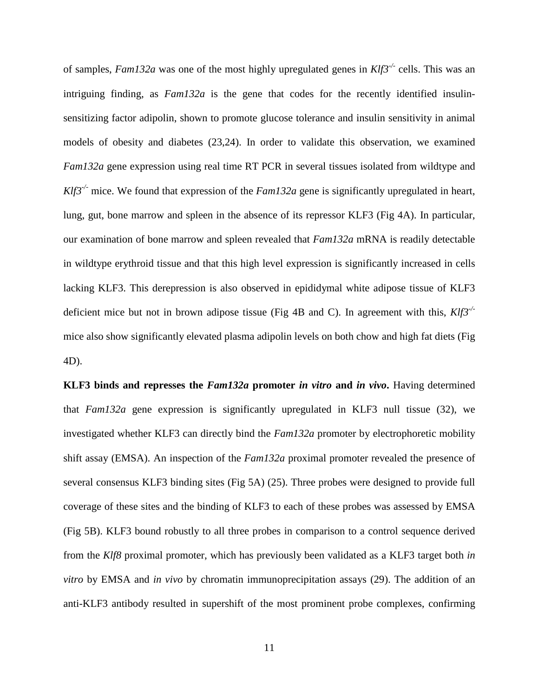of samples, *Fam132a* was one of the most highly upregulated genes in *Klf3-/-* cells. This was an intriguing finding, as *Fam132a* is the gene that codes for the recently identified insulinsensitizing factor adipolin, shown to promote glucose tolerance and insulin sensitivity in animal models of obesity and diabetes [\(23,](#page-18-7)[24\)](#page-18-8). In order to validate this observation, we examined *Fam132a* gene expression using real time RT PCR in several tissues isolated from wildtype and *Klf3<sup>-/-</sup>* mice. We found that expression of the *Fam132a* gene is significantly upregulated in heart, lung, gut, bone marrow and spleen in the absence of its repressor KLF3 (Fig 4A). In particular, our examination of bone marrow and spleen revealed that *Fam132a* mRNA is readily detectable in wildtype erythroid tissue and that this high level expression is significantly increased in cells lacking KLF3. This derepression is also observed in epididymal white adipose tissue of KLF3 deficient mice but not in brown adipose tissue (Fig 4B and C). In agreement with this, *Klf3-/* mice also show significantly elevated plasma adipolin levels on both chow and high fat diets (Fig 4D).

**KLF3 binds and represses the** *Fam132a* **promoter** *in vitro* **and** *in vivo***.** Having determined that *Fam132a* gene expression is significantly upregulated in KLF3 null tissue [\(32\)](#page-19-4), we investigated whether KLF3 can directly bind the *Fam132a* promoter by electrophoretic mobility shift assay (EMSA). An inspection of the *Fam132a* proximal promoter revealed the presence of several consensus KLF3 binding sites (Fig 5A) [\(25\)](#page-18-9). Three probes were designed to provide full coverage of these sites and the binding of KLF3 to each of these probes was assessed by EMSA (Fig 5B). KLF3 bound robustly to all three probes in comparison to a control sequence derived from the *Klf8* proximal promoter, which has previously been validated as a KLF3 target both *in vitro* by EMSA and *in vivo* by chromatin immunoprecipitation assays [\(29\)](#page-19-1). The addition of an anti-KLF3 antibody resulted in supershift of the most prominent probe complexes, confirming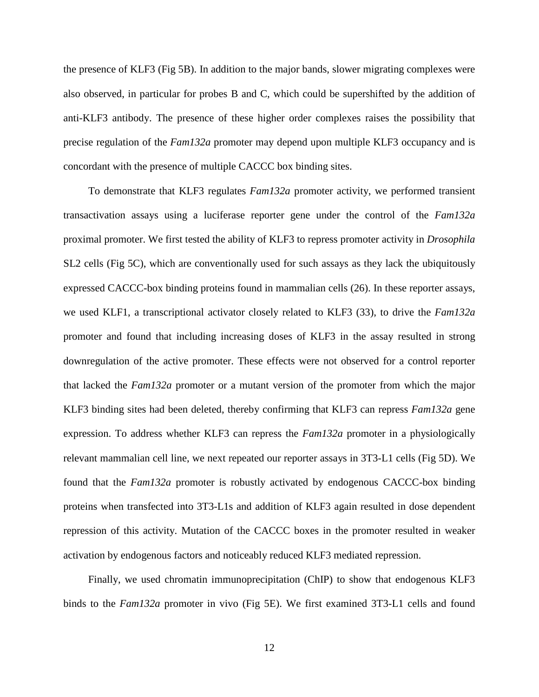the presence of KLF3 (Fig 5B). In addition to the major bands, slower migrating complexes were also observed, in particular for probes B and C, which could be supershifted by the addition of anti-KLF3 antibody. The presence of these higher order complexes raises the possibility that precise regulation of the *Fam132a* promoter may depend upon multiple KLF3 occupancy and is concordant with the presence of multiple CACCC box binding sites.

To demonstrate that KLF3 regulates *Fam132a* promoter activity, we performed transient transactivation assays using a luciferase reporter gene under the control of the *Fam132a* proximal promoter. We first tested the ability of KLF3 to repress promoter activity in *Drosophila* SL2 cells (Fig 5C), which are conventionally used for such assays as they lack the ubiquitously expressed CACCC-box binding proteins found in mammalian cells [\(26\)](#page-18-10). In these reporter assays, we used KLF1, a transcriptional activator closely related to KLF3 [\(33\)](#page-19-5), to drive the *Fam132a* promoter and found that including increasing doses of KLF3 in the assay resulted in strong downregulation of the active promoter. These effects were not observed for a control reporter that lacked the *Fam132a* promoter or a mutant version of the promoter from which the major KLF3 binding sites had been deleted, thereby confirming that KLF3 can repress *Fam132a* gene expression. To address whether KLF3 can repress the *Fam132a* promoter in a physiologically relevant mammalian cell line, we next repeated our reporter assays in 3T3-L1 cells (Fig 5D). We found that the *Fam132a* promoter is robustly activated by endogenous CACCC-box binding proteins when transfected into 3T3-L1s and addition of KLF3 again resulted in dose dependent repression of this activity. Mutation of the CACCC boxes in the promoter resulted in weaker activation by endogenous factors and noticeably reduced KLF3 mediated repression.

Finally, we used chromatin immunoprecipitation (ChIP) to show that endogenous KLF3 binds to the *Fam132a* promoter in vivo (Fig 5E). We first examined 3T3-L1 cells and found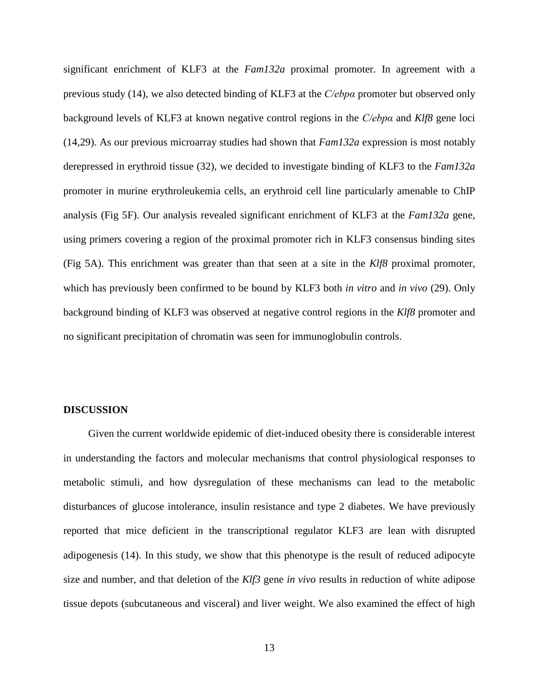significant enrichment of KLF3 at the *Fam132a* proximal promoter. In agreement with a previous study [\(14\)](#page-17-7), we also detected binding of KLF3 at the *C/ebpα* promoter but observed only background levels of KLF3 at known negative control regions in the *C/ebpα* and *Klf8* gene loci [\(14,](#page-17-7)[29\)](#page-19-1). As our previous microarray studies had shown that *Fam132a* expression is most notably derepressed in erythroid tissue [\(32\)](#page-19-4), we decided to investigate binding of KLF3 to the *Fam132a* promoter in murine erythroleukemia cells, an erythroid cell line particularly amenable to ChIP analysis (Fig 5F). Our analysis revealed significant enrichment of KLF3 at the *Fam132a* gene, using primers covering a region of the proximal promoter rich in KLF3 consensus binding sites (Fig 5A). This enrichment was greater than that seen at a site in the *Klf8* proximal promoter, which has previously been confirmed to be bound by KLF3 both *in vitro* and *in vivo* [\(29\)](#page-19-1). Only background binding of KLF3 was observed at negative control regions in the *Klf8* promoter and no significant precipitation of chromatin was seen for immunoglobulin controls.

#### **DISCUSSION**

Given the current worldwide epidemic of diet-induced obesity there is considerable interest in understanding the factors and molecular mechanisms that control physiological responses to metabolic stimuli, and how dysregulation of these mechanisms can lead to the metabolic disturbances of glucose intolerance, insulin resistance and type 2 diabetes. We have previously reported that mice deficient in the transcriptional regulator KLF3 are lean with disrupted adipogenesis [\(14\)](#page-17-7). In this study, we show that this phenotype is the result of reduced adipocyte size and number, and that deletion of the *Klf3* gene *in vivo* results in reduction of white adipose tissue depots (subcutaneous and visceral) and liver weight. We also examined the effect of high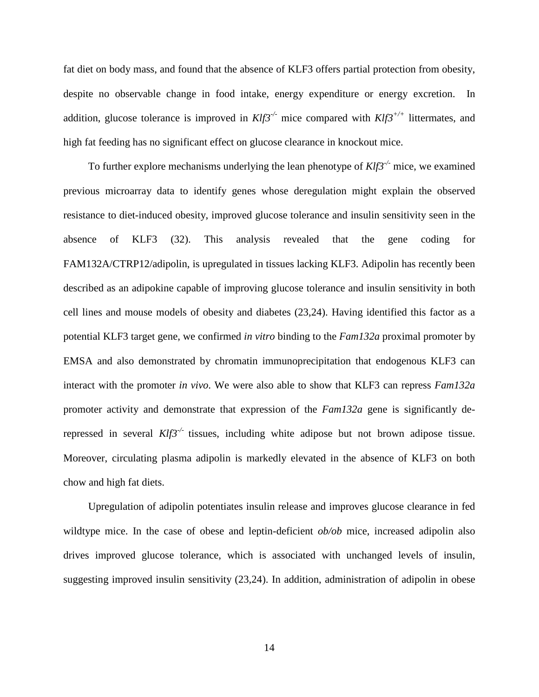fat diet on body mass, and found that the absence of KLF3 offers partial protection from obesity, despite no observable change in food intake, energy expenditure or energy excretion. In addition, glucose tolerance is improved in *Klf3-/-* mice compared with *Klf3+/+* littermates, and high fat feeding has no significant effect on glucose clearance in knockout mice.

To further explore mechanisms underlying the lean phenotype of *Klf3-/-* mice, we examined previous microarray data to identify genes whose deregulation might explain the observed resistance to diet-induced obesity, improved glucose tolerance and insulin sensitivity seen in the absence of KLF3 [\(32\)](#page-19-4). This analysis revealed that the gene coding for FAM132A/CTRP12/adipolin, is upregulated in tissues lacking KLF3. Adipolin has recently been described as an adipokine capable of improving glucose tolerance and insulin sensitivity in both cell lines and mouse models of obesity and diabetes [\(23](#page-18-7)[,24\)](#page-18-8). Having identified this factor as a potential KLF3 target gene, we confirmed *in vitro* binding to the *Fam132a* proximal promoter by EMSA and also demonstrated by chromatin immunoprecipitation that endogenous KLF3 can interact with the promoter *in vivo*. We were also able to show that KLF3 can repress *Fam132a* promoter activity and demonstrate that expression of the *Fam132a* gene is significantly derepressed in several *Klf3-/-* tissues, including white adipose but not brown adipose tissue. Moreover, circulating plasma adipolin is markedly elevated in the absence of KLF3 on both chow and high fat diets.

Upregulation of adipolin potentiates insulin release and improves glucose clearance in fed wildtype mice. In the case of obese and leptin-deficient *ob/ob* mice, increased adipolin also drives improved glucose tolerance, which is associated with unchanged levels of insulin, suggesting improved insulin sensitivity [\(23,](#page-18-7)[24\)](#page-18-8). In addition, administration of adipolin in obese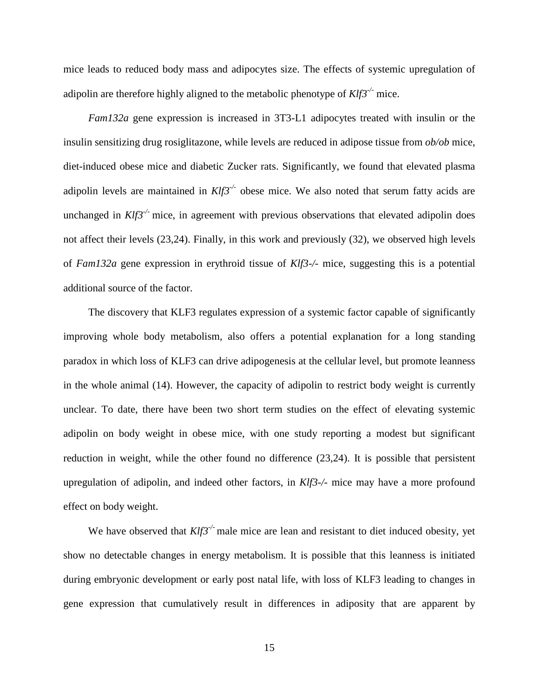mice leads to reduced body mass and adipocytes size. The effects of systemic upregulation of adipolin are therefore highly aligned to the metabolic phenotype of *Klf3-/-* mice.

*Fam132a* gene expression is increased in 3T3-L1 adipocytes treated with insulin or the insulin sensitizing drug rosiglitazone, while levels are reduced in adipose tissue from *ob/ob* mice, diet-induced obese mice and diabetic Zucker rats. Significantly, we found that elevated plasma adipolin levels are maintained in  $Klf3^{-/-}$  obese mice. We also noted that serum fatty acids are unchanged in *Klf3<sup>-/-</sup>* mice, in agreement with previous observations that elevated adipolin does not affect their levels [\(23,](#page-18-7)[24\)](#page-18-8). Finally, in this work and previously [\(32\)](#page-19-4), we observed high levels of *Fam132a* gene expression in erythroid tissue of *Klf3-/-* mice, suggesting this is a potential additional source of the factor.

The discovery that KLF3 regulates expression of a systemic factor capable of significantly improving whole body metabolism, also offers a potential explanation for a long standing paradox in which loss of KLF3 can drive adipogenesis at the cellular level, but promote leanness in the whole animal [\(14\)](#page-17-7). However, the capacity of adipolin to restrict body weight is currently unclear. To date, there have been two short term studies on the effect of elevating systemic adipolin on body weight in obese mice, with one study reporting a modest but significant reduction in weight, while the other found no difference [\(23,](#page-18-7)[24\)](#page-18-8). It is possible that persistent upregulation of adipolin, and indeed other factors, in *Klf3-/-* mice may have a more profound effect on body weight.

We have observed that  $Klf3^{-/2}$  male mice are lean and resistant to diet induced obesity, yet show no detectable changes in energy metabolism. It is possible that this leanness is initiated during embryonic development or early post natal life, with loss of KLF3 leading to changes in gene expression that cumulatively result in differences in adiposity that are apparent by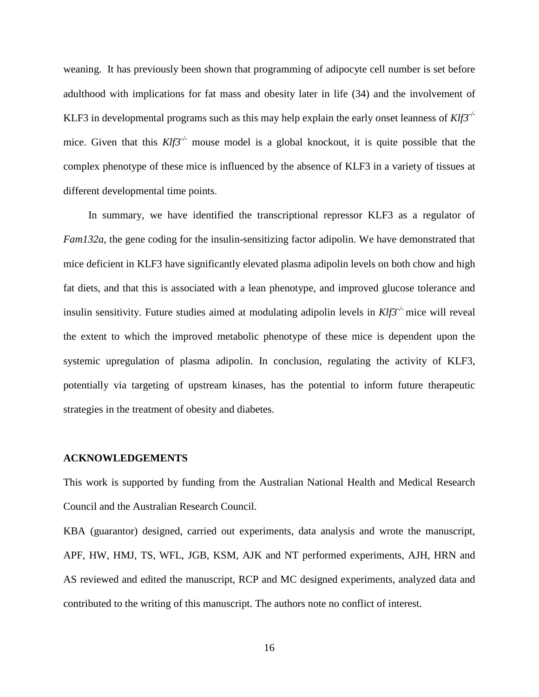weaning. It has previously been shown that programming of adipocyte cell number is set before adulthood with implications for fat mass and obesity later in life [\(34\)](#page-19-6) and the involvement of KLF3 in developmental programs such as this may help explain the early onset leanness of *Klf3-/* mice. Given that this  $Klf3^{-/-}$  mouse model is a global knockout, it is quite possible that the complex phenotype of these mice is influenced by the absence of KLF3 in a variety of tissues at different developmental time points.

In summary, we have identified the transcriptional repressor KLF3 as a regulator of *Fam132a*, the gene coding for the insulin-sensitizing factor adipolin. We have demonstrated that mice deficient in KLF3 have significantly elevated plasma adipolin levels on both chow and high fat diets, and that this is associated with a lean phenotype, and improved glucose tolerance and insulin sensitivity. Future studies aimed at modulating adipolin levels in *Klf3-/-* mice will reveal the extent to which the improved metabolic phenotype of these mice is dependent upon the systemic upregulation of plasma adipolin. In conclusion, regulating the activity of KLF3, potentially via targeting of upstream kinases, has the potential to inform future therapeutic strategies in the treatment of obesity and diabetes.

#### **ACKNOWLEDGEMENTS**

This work is supported by funding from the Australian National Health and Medical Research Council and the Australian Research Council.

KBA (guarantor) designed, carried out experiments, data analysis and wrote the manuscript, APF, HW, HMJ, TS, WFL, JGB, KSM, AJK and NT performed experiments, AJH, HRN and AS reviewed and edited the manuscript, RCP and MC designed experiments, analyzed data and contributed to the writing of this manuscript. The authors note no conflict of interest.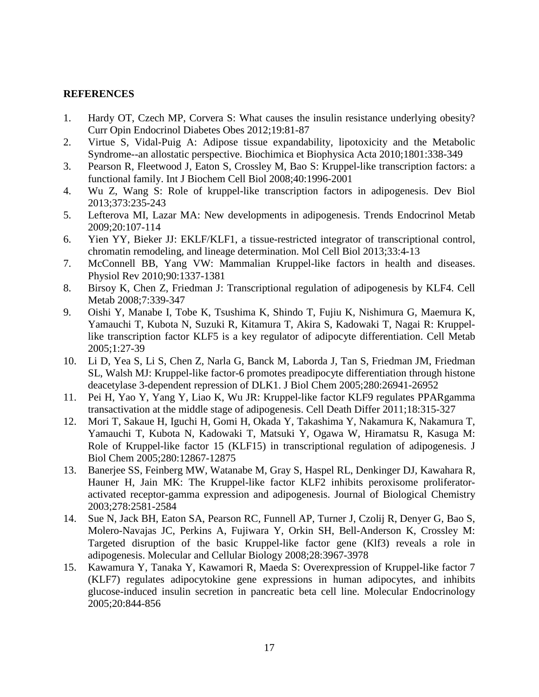## **REFERENCES**

- <span id="page-17-0"></span>1. Hardy OT, Czech MP, Corvera S: What causes the insulin resistance underlying obesity? Curr Opin Endocrinol Diabetes Obes 2012;19:81-87
- <span id="page-17-1"></span>2. Virtue S, Vidal-Puig A: Adipose tissue expandability, lipotoxicity and the Metabolic Syndrome--an allostatic perspective. Biochimica et Biophysica Acta 2010;1801:338-349
- <span id="page-17-2"></span>3. Pearson R, Fleetwood J, Eaton S, Crossley M, Bao S: Kruppel-like transcription factors: a functional family. Int J Biochem Cell Biol 2008;40:1996-2001
- 4. Wu Z, Wang S: Role of kruppel-like transcription factors in adipogenesis. Dev Biol 2013;373:235-243
- 5. Lefterova MI, Lazar MA: New developments in adipogenesis. Trends Endocrinol Metab 2009;20:107-114
- <span id="page-17-3"></span>6. Yien YY, Bieker JJ: EKLF/KLF1, a tissue-restricted integrator of transcriptional control, chromatin remodeling, and lineage determination. Mol Cell Biol 2013;33:4-13
- <span id="page-17-4"></span>7. McConnell BB, Yang VW: Mammalian Kruppel-like factors in health and diseases. Physiol Rev 2010;90:1337-1381
- <span id="page-17-5"></span>8. Birsoy K, Chen Z, Friedman J: Transcriptional regulation of adipogenesis by KLF4. Cell Metab 2008;7:339-347
- 9. Oishi Y, Manabe I, Tobe K, Tsushima K, Shindo T, Fujiu K, Nishimura G, Maemura K, Yamauchi T, Kubota N, Suzuki R, Kitamura T, Akira S, Kadowaki T, Nagai R: Kruppellike transcription factor KLF5 is a key regulator of adipocyte differentiation. Cell Metab 2005;1:27-39
- 10. Li D, Yea S, Li S, Chen Z, Narla G, Banck M, Laborda J, Tan S, Friedman JM, Friedman SL, Walsh MJ: Kruppel-like factor-6 promotes preadipocyte differentiation through histone deacetylase 3-dependent repression of DLK1. J Biol Chem 2005;280:26941-26952
- 11. Pei H, Yao Y, Yang Y, Liao K, Wu JR: Kruppel-like factor KLF9 regulates PPARgamma transactivation at the middle stage of adipogenesis. Cell Death Differ 2011;18:315-327
- 12. Mori T, Sakaue H, Iguchi H, Gomi H, Okada Y, Takashima Y, Nakamura K, Nakamura T, Yamauchi T, Kubota N, Kadowaki T, Matsuki Y, Ogawa W, Hiramatsu R, Kasuga M: Role of Kruppel-like factor 15 (KLF15) in transcriptional regulation of adipogenesis. J Biol Chem 2005;280:12867-12875
- <span id="page-17-6"></span>13. Banerjee SS, Feinberg MW, Watanabe M, Gray S, Haspel RL, Denkinger DJ, Kawahara R, Hauner H, Jain MK: The Kruppel-like factor KLF2 inhibits peroxisome proliferatoractivated receptor-gamma expression and adipogenesis. Journal of Biological Chemistry 2003;278:2581-2584
- <span id="page-17-7"></span>14. Sue N, Jack BH, Eaton SA, Pearson RC, Funnell AP, Turner J, Czolij R, Denyer G, Bao S, Molero-Navajas JC, Perkins A, Fujiwara Y, Orkin SH, Bell-Anderson K, Crossley M: Targeted disruption of the basic Kruppel-like factor gene (Klf3) reveals a role in adipogenesis. Molecular and Cellular Biology 2008;28:3967-3978
- 15. Kawamura Y, Tanaka Y, Kawamori R, Maeda S: Overexpression of Kruppel-like factor 7 (KLF7) regulates adipocytokine gene expressions in human adipocytes, and inhibits glucose-induced insulin secretion in pancreatic beta cell line. Molecular Endocrinology 2005;20:844-856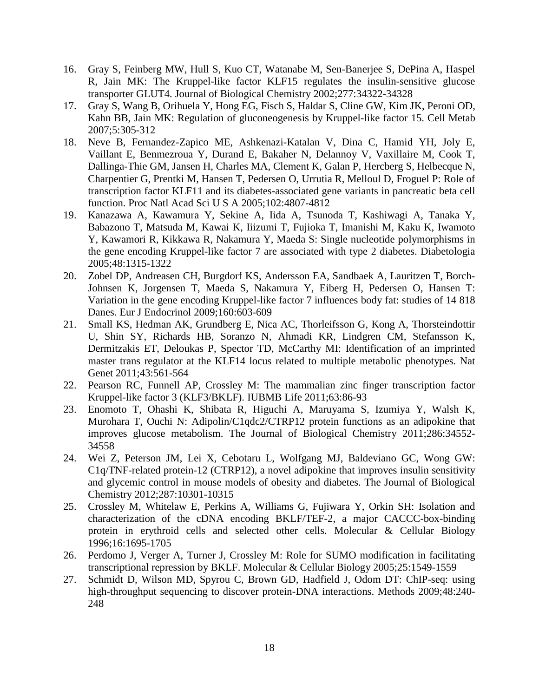- <span id="page-18-0"></span>16. Gray S, Feinberg MW, Hull S, Kuo CT, Watanabe M, Sen-Banerjee S, DePina A, Haspel R, Jain MK: The Kruppel-like factor KLF15 regulates the insulin-sensitive glucose transporter GLUT4. Journal of Biological Chemistry 2002;277:34322-34328
- <span id="page-18-1"></span>17. Gray S, Wang B, Orihuela Y, Hong EG, Fisch S, Haldar S, Cline GW, Kim JK, Peroni OD, Kahn BB, Jain MK: Regulation of gluconeogenesis by Kruppel-like factor 15. Cell Metab 2007;5:305-312
- <span id="page-18-2"></span>18. Neve B, Fernandez-Zapico ME, Ashkenazi-Katalan V, Dina C, Hamid YH, Joly E, Vaillant E, Benmezroua Y, Durand E, Bakaher N, Delannoy V, Vaxillaire M, Cook T, Dallinga-Thie GM, Jansen H, Charles MA, Clement K, Galan P, Hercberg S, Helbecque N, Charpentier G, Prentki M, Hansen T, Pedersen O, Urrutia R, Melloul D, Froguel P: Role of transcription factor KLF11 and its diabetes-associated gene variants in pancreatic beta cell function. Proc Natl Acad Sci U S A 2005;102:4807-4812
- <span id="page-18-3"></span>19. Kanazawa A, Kawamura Y, Sekine A, Iida A, Tsunoda T, Kashiwagi A, Tanaka Y, Babazono T, Matsuda M, Kawai K, Iiizumi T, Fujioka T, Imanishi M, Kaku K, Iwamoto Y, Kawamori R, Kikkawa R, Nakamura Y, Maeda S: Single nucleotide polymorphisms in the gene encoding Kruppel-like factor 7 are associated with type 2 diabetes. Diabetologia 2005;48:1315-1322
- <span id="page-18-4"></span>20. Zobel DP, Andreasen CH, Burgdorf KS, Andersson EA, Sandbaek A, Lauritzen T, Borch-Johnsen K, Jorgensen T, Maeda S, Nakamura Y, Eiberg H, Pedersen O, Hansen T: Variation in the gene encoding Kruppel-like factor 7 influences body fat: studies of 14 818 Danes. Eur J Endocrinol 2009;160:603-609
- <span id="page-18-5"></span>21. Small KS, Hedman AK, Grundberg E, Nica AC, Thorleifsson G, Kong A, Thorsteindottir U, Shin SY, Richards HB, Soranzo N, Ahmadi KR, Lindgren CM, Stefansson K, Dermitzakis ET, Deloukas P, Spector TD, McCarthy MI: Identification of an imprinted master trans regulator at the KLF14 locus related to multiple metabolic phenotypes. Nat Genet 2011;43:561-564
- <span id="page-18-6"></span>22. Pearson RC, Funnell AP, Crossley M: The mammalian zinc finger transcription factor Kruppel-like factor 3 (KLF3/BKLF). IUBMB Life 2011;63:86-93
- <span id="page-18-7"></span>23. Enomoto T, Ohashi K, Shibata R, Higuchi A, Maruyama S, Izumiya Y, Walsh K, Murohara T, Ouchi N: Adipolin/C1qdc2/CTRP12 protein functions as an adipokine that improves glucose metabolism. The Journal of Biological Chemistry 2011;286:34552- 34558
- <span id="page-18-8"></span>24. Wei Z, Peterson JM, Lei X, Cebotaru L, Wolfgang MJ, Baldeviano GC, Wong GW: C1q/TNF-related protein-12 (CTRP12), a novel adipokine that improves insulin sensitivity and glycemic control in mouse models of obesity and diabetes. The Journal of Biological Chemistry 2012;287:10301-10315
- <span id="page-18-9"></span>25. Crossley M, Whitelaw E, Perkins A, Williams G, Fujiwara Y, Orkin SH: Isolation and characterization of the cDNA encoding BKLF/TEF-2, a major CACCC-box-binding protein in erythroid cells and selected other cells. Molecular & Cellular Biology 1996;16:1695-1705
- <span id="page-18-10"></span>26. Perdomo J, Verger A, Turner J, Crossley M: Role for SUMO modification in facilitating transcriptional repression by BKLF. Molecular & Cellular Biology 2005;25:1549-1559
- <span id="page-18-11"></span>27. Schmidt D, Wilson MD, Spyrou C, Brown GD, Hadfield J, Odom DT: ChIP-seq: using high-throughput sequencing to discover protein-DNA interactions. Methods 2009;48:240- 248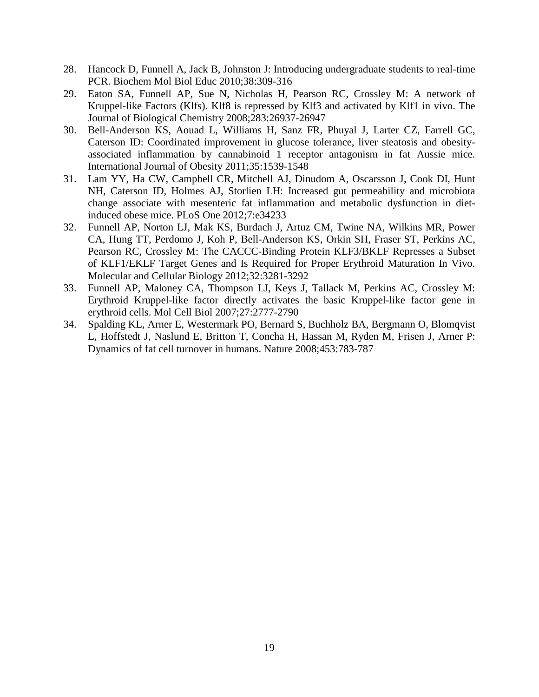- <span id="page-19-0"></span>28. Hancock D, Funnell A, Jack B, Johnston J: Introducing undergraduate students to real-time PCR. Biochem Mol Biol Educ 2010;38:309-316
- <span id="page-19-1"></span>29. Eaton SA, Funnell AP, Sue N, Nicholas H, Pearson RC, Crossley M: A network of Kruppel-like Factors (Klfs). Klf8 is repressed by Klf3 and activated by Klf1 in vivo. The Journal of Biological Chemistry 2008;283:26937-26947
- <span id="page-19-2"></span>30. Bell-Anderson KS, Aouad L, Williams H, Sanz FR, Phuyal J, Larter CZ, Farrell GC, Caterson ID: Coordinated improvement in glucose tolerance, liver steatosis and obesityassociated inflammation by cannabinoid 1 receptor antagonism in fat Aussie mice. International Journal of Obesity 2011;35:1539-1548
- <span id="page-19-3"></span>31. Lam YY, Ha CW, Campbell CR, Mitchell AJ, Dinudom A, Oscarsson J, Cook DI, Hunt NH, Caterson ID, Holmes AJ, Storlien LH: Increased gut permeability and microbiota change associate with mesenteric fat inflammation and metabolic dysfunction in dietinduced obese mice. PLoS One 2012;7:e34233
- <span id="page-19-4"></span>32. Funnell AP, Norton LJ, Mak KS, Burdach J, Artuz CM, Twine NA, Wilkins MR, Power CA, Hung TT, Perdomo J, Koh P, Bell-Anderson KS, Orkin SH, Fraser ST, Perkins AC, Pearson RC, Crossley M: The CACCC-Binding Protein KLF3/BKLF Represses a Subset of KLF1/EKLF Target Genes and Is Required for Proper Erythroid Maturation In Vivo. Molecular and Cellular Biology 2012;32:3281-3292
- <span id="page-19-5"></span>33. Funnell AP, Maloney CA, Thompson LJ, Keys J, Tallack M, Perkins AC, Crossley M: Erythroid Kruppel-like factor directly activates the basic Kruppel-like factor gene in erythroid cells. Mol Cell Biol 2007;27:2777-2790
- <span id="page-19-6"></span>34. Spalding KL, Arner E, Westermark PO, Bernard S, Buchholz BA, Bergmann O, Blomqvist L, Hoffstedt J, Naslund E, Britton T, Concha H, Hassan M, Ryden M, Frisen J, Arner P: Dynamics of fat cell turnover in humans. Nature 2008;453:783-787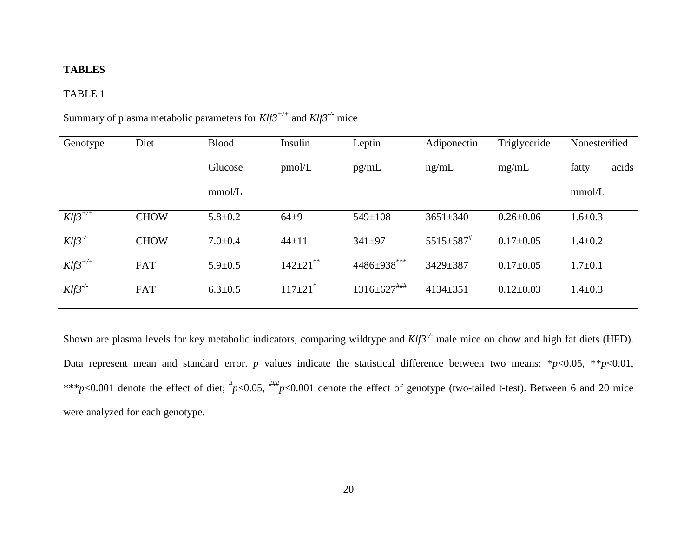## **TABLES**

## TABLE 1

| Genotype     | Diet        | <b>Blood</b>  | Insulin                    | Leptin                        | Adiponectin                 | Triglyceride    | Nonesterified  |
|--------------|-------------|---------------|----------------------------|-------------------------------|-----------------------------|-----------------|----------------|
|              |             | Glucose       | pmol/L                     | pg/mL                         | ng/mL                       | mg/mL           | fatty<br>acids |
|              |             | mmol/L        |                            |                               |                             |                 | mmol/L         |
| $Klf3^{+/+}$ | <b>CHOW</b> | $5.8 \pm 0.2$ | $64 + 9$                   | 549±108                       | $3651 \pm 340$              | $0.26 \pm 0.06$ | $1.6 \pm 0.3$  |
| $Klf3^{-/2}$ | <b>CHOW</b> | $7.0 \pm 0.4$ | $44 \pm 11$                | $341 \pm 97$                  | $5515 \pm 587$ <sup>#</sup> | $0.17 \pm 0.05$ | $1.4 + 0.2$    |
| $Klf3^{+/+}$ | <b>FAT</b>  | $5.9 \pm 0.5$ | $142 \pm 21$ <sup>**</sup> | $4486 \pm 938$ ***            | 3429±387                    | $0.17 \pm 0.05$ | $1.7 \pm 0.1$  |
| $Klf3^{-/-}$ | <b>FAT</b>  | $6.3 \pm 0.5$ | $117 \pm 21$ <sup>*</sup>  | $1316 \pm 627$ <sup>###</sup> | $4134 \pm 351$              | $0.12 \pm 0.03$ | $1.4 \pm 0.3$  |

Summary of plasma metabolic parameters for *Klf3+/+* and *Klf3-/-* mice

Shown are plasma levels for key metabolic indicators, comparing wildtype and *Klf3<sup>-/-</sup>* male mice on chow and high fat diets (HFD). Data represent mean and standard error. *p* values indicate the statistical difference between two means: \**p*<0.05, \*\**p*<0.01, \*\*\* $p$ <0.001 denote the effect of diet;  $\frac{p}{p}$ <0.05,  $\frac{p}{p}$ <0.001 denote the effect of genotype (two-tailed t-test). Between 6 and 20 mice were analyzed for each genotype.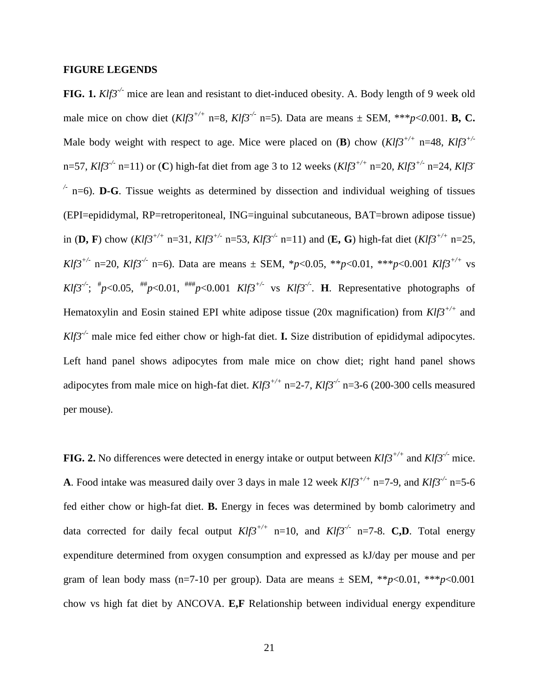#### **FIGURE LEGENDS**

**FIG. 1.**  $Klf3^{-1}$  mice are lean and resistant to diet-induced obesity. A. Body length of 9 week old male mice on chow diet  $(Klf3^{+/+} n=8, Klf3^{-/-} n=5)$ . Data are means  $\pm$  SEM, \*\*\**p*<0.001. **B, C.** Male body weight with respect to age. Mice were placed on (**B**) chow  $(Klfs^{+/+})$  n=48,  $Klfs^{+/-}$ n=57, *Klf3<sup>-/-</sup>* n=11) or (**C**) high-fat diet from age 3 to 12 weeks (*Klf3<sup>+/+</sup>* n=20, *Klf3<sup>+/-</sup>* n=24, *Klf3<sup>-</sup>*  $\frac{1}{2}$  n=6). **D-G**. Tissue weights as determined by dissection and individual weighing of tissues (EPI=epididymal, RP=retroperitoneal, ING=inguinal subcutaneous, BAT=brown adipose tissue) in (**D, F**) chow (*Klf3+/+* n=31, *Klf3+/-* n=53, *Klf3-/-* n=11) and (**E, G**) high-fat diet (*Klf3+/+* n=25, *Klf3<sup>+/-</sup>* n=20, *Klf3<sup>-/-</sup>* n=6). Data are means  $\pm$  SEM, \**p*<0.05, \*\**p*<0.01, \*\*\**p*<0.001 *Klf3*<sup>+/+</sup> vs *Klf3<sup>-/-</sup>*;  $^{\#}p$ <0.05,  $^{\#}p$ <0.01,  $^{\#}p$  <0.001 *Klf3<sup>+/-</sup>* vs *Klf3<sup>-/-</sup>*. **H**. Representative photographs of Hematoxylin and Eosin stained EPI white adipose tissue (20x magnification) from *Klf3+/+* and *Klf3<sup>-/-</sup>* male mice fed either chow or high-fat diet. **I.** Size distribution of epididymal adipocytes. Left hand panel shows adipocytes from male mice on chow diet; right hand panel shows adipocytes from male mice on high-fat diet. *Klf3+/+* n=2-7, *Klf3-/-* n=3-6 (200-300 cells measured per mouse).

**FIG. 2.** No differences were detected in energy intake or output between  $Klf3^{+/+}$  and  $Klf3^{-/-}$  mice. **A**. Food intake was measured daily over 3 days in male 12 week *Klf3+/+* n=7-9, and *Klf3-/-* n=5-6 fed either chow or high-fat diet. **B.** Energy in feces was determined by bomb calorimetry and data corrected for daily fecal output  $Klf3^{+/+}$  n=10, and  $Klf3^{-/-}$  n=7-8. **C,D**. Total energy expenditure determined from oxygen consumption and expressed as kJ/day per mouse and per gram of lean body mass (n=7-10 per group). Data are means  $\pm$  SEM, \*\**p*<0.01, \*\*\**p*<0.001 chow vs high fat diet by ANCOVA. **E,F** Relationship between individual energy expenditure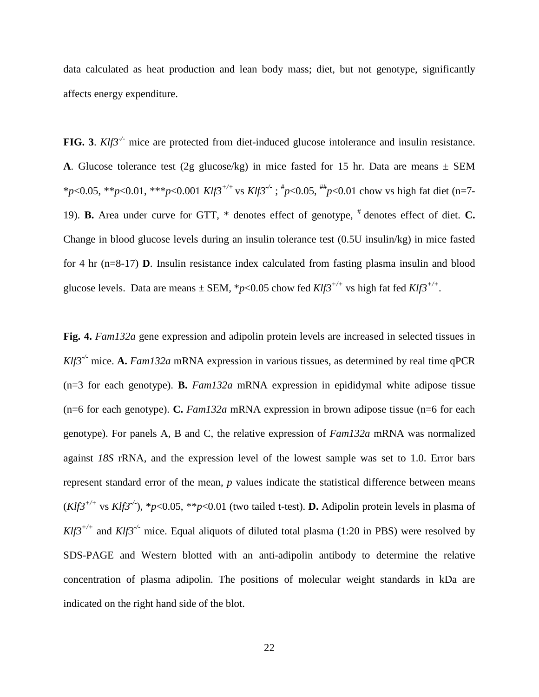data calculated as heat production and lean body mass; diet, but not genotype, significantly affects energy expenditure.

**FIG.** 3. *Klf3<sup>-/-</sup>* mice are protected from diet-induced glucose intolerance and insulin resistance. **A**. Glucose tolerance test (2g glucose/kg) in mice fasted for 15 hr. Data are means  $\pm$  SEM \**p*<0.05, \*\**p*<0.01, \*\*\**p*<0.001 *Klf3+/+* vs *Klf3-/-* ; # *p*<0.05, ## *p*<0.01 chow vs high fat diet (n=7- 19). **B.** Area under curve for GTT, \* denotes effect of genotype, # denotes effect of diet. **C.** Change in blood glucose levels during an insulin tolerance test (0.5U insulin/kg) in mice fasted for 4 hr (n=8-17) **D**. Insulin resistance index calculated from fasting plasma insulin and blood glucose levels. Data are means  $\pm$  SEM, \*p<0.05 chow fed *Klf3<sup>+/+</sup>* vs high fat fed *Klf3<sup>+/+</sup>*.

**Fig. 4.** *Fam132a* gene expression and adipolin protein levels are increased in selected tissues in *Klf3-/-* mice. **A.** *Fam132a* mRNA expression in various tissues, as determined by real time qPCR (n=3 for each genotype). **B.** *Fam132a* mRNA expression in epididymal white adipose tissue (n=6 for each genotype). **C.** *Fam132a* mRNA expression in brown adipose tissue (n=6 for each genotype). For panels A, B and C, the relative expression of *Fam132a* mRNA was normalized against *18S* rRNA, and the expression level of the lowest sample was set to 1.0. Error bars represent standard error of the mean, *p* values indicate the statistical difference between means  $(Klf3^{+/+}$  vs  $Klf3^{-/}$ ),  $*p<0.05$ ,  $**p<0.01$  (two tailed t-test). **D.** Adipolin protein levels in plasma of  $Klf3^{+/+}$  and  $Klf3^{-/}$  mice. Equal aliquots of diluted total plasma (1:20 in PBS) were resolved by SDS-PAGE and Western blotted with an anti-adipolin antibody to determine the relative concentration of plasma adipolin. The positions of molecular weight standards in kDa are indicated on the right hand side of the blot.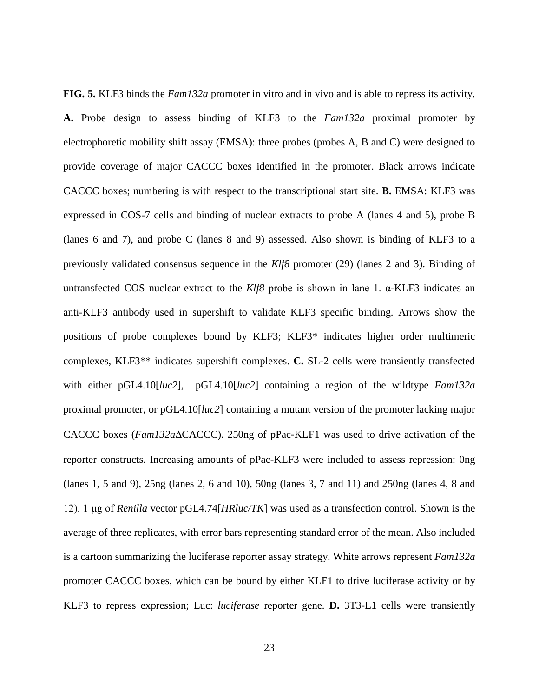**FIG. 5.** KLF3 binds the *Fam132a* promoter in vitro and in vivo and is able to repress its activity. **A.** Probe design to assess binding of KLF3 to the *Fam132a* proximal promoter by electrophoretic mobility shift assay (EMSA): three probes (probes A, B and C) were designed to provide coverage of major CACCC boxes identified in the promoter. Black arrows indicate CACCC boxes; numbering is with respect to the transcriptional start site. **B.** EMSA: KLF3 was expressed in COS-7 cells and binding of nuclear extracts to probe A (lanes 4 and 5), probe B (lanes 6 and 7), and probe C (lanes 8 and 9) assessed. Also shown is binding of KLF3 to a previously validated consensus sequence in the *Klf8* promoter [\(29\)](#page-19-1) (lanes 2 and 3). Binding of untransfected COS nuclear extract to the *Klf8* probe is shown in lane 1. α-KLF3 indicates an anti-KLF3 antibody used in supershift to validate KLF3 specific binding. Arrows show the positions of probe complexes bound by KLF3; KLF3\* indicates higher order multimeric complexes, KLF3\*\* indicates supershift complexes. **C.** SL-2 cells were transiently transfected with either pGL4.10[*luc2*], pGL4.10[*luc2*] containing a region of the wildtype *Fam132a* proximal promoter, or pGL4.10[*luc2*] containing a mutant version of the promoter lacking major CACCC boxes (*Fam132a*∆CACCC). 250ng of pPac-KLF1 was used to drive activation of the reporter constructs. Increasing amounts of pPac-KLF3 were included to assess repression: 0ng (lanes 1, 5 and 9), 25ng (lanes 2, 6 and 10), 50ng (lanes 3, 7 and 11) and 250ng (lanes 4, 8 and 12). 1 μg of *Renilla* vector pGL4.74[*HRluc/TK*] was used as a transfection control. Shown is the average of three replicates, with error bars representing standard error of the mean. Also included is a cartoon summarizing the luciferase reporter assay strategy. White arrows represent *Fam132a* promoter CACCC boxes, which can be bound by either KLF1 to drive luciferase activity or by KLF3 to repress expression; Luc: *luciferase* reporter gene. **D.** 3T3-L1 cells were transiently